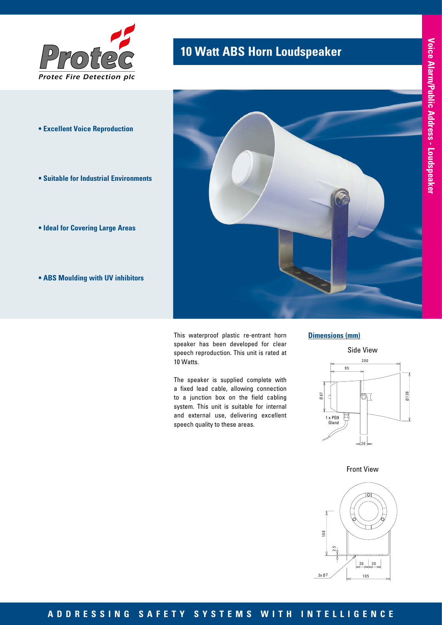

- **Excellent Voice Reproduction**
- **Suitable for Industrial Environments**
- **Ideal for Covering Large Areas**
- **ABS Moulding with UV inhibitors**

# **10 Watt ABS Horn Loudspeaker Protection**



This waterproof plastic re-entrant horn speaker has been developed for clear speech reproduction. This unit is rated at 10 Watts.

The speaker is supplied complete with a fixed lead cable, allowing connection to a junction box on the field cabling system. This unit is suitable for internal and external use, delivering excellent speech quality to these areas.

#### **Dimensions (mm)**



Front View